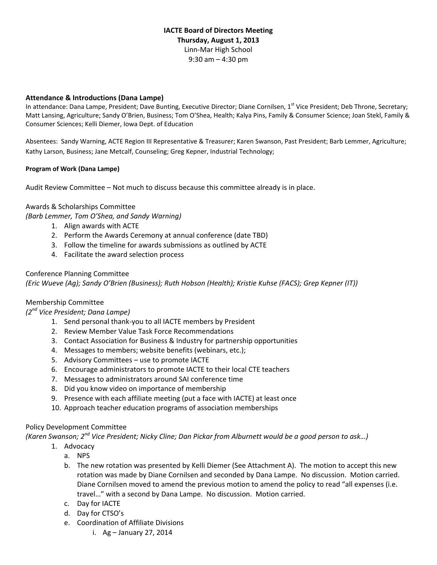## **IACTE Board of Directors Meeting Thursday, August 1, 2013** Linn‐Mar High School 9:30 am – 4:30 pm

#### **Attendance & Introductions (Dana Lampe)**

In attendance: Dana Lampe, President; Dave Bunting, Executive Director; Diane Cornilsen, 1<sup>st</sup> Vice President; Deb Throne, Secretary; Matt Lansing, Agriculture; Sandy O'Brien, Business; Tom O'Shea, Health; Kalya Pins, Family & Consumer Science; Joan Stekl, Family & Consumer Sciences; Kelli Diemer, Iowa Dept. of Education

Absentees: Sandy Warning, ACTE Region III Representative & Treasurer; Karen Swanson, Past President; Barb Lemmer, Agriculture; Kathy Larson, Business; Jane Metcalf, Counseling; Greg Kepner, Industrial Technology;

#### **Program of Work (Dana Lampe)**

Audit Review Committee – Not much to discuss because this committee already is in place.

#### Awards & Scholarships Committee

*(Barb Lemmer, Tom O'Shea, and Sandy Warning)*

- 1. Align awards with ACTE
- 2. Perform the Awards Ceremony at annual conference (date TBD)
- 3. Follow the timeline for awards submissions as outlined by ACTE
- 4. Facilitate the award selection process

### Conference Planning Committee

*(Eric Wueve (Ag); Sandy O'Brien (Business); Ruth Hobson (Health); Kristie Kuhse (FACS); Grep Kepner (IT))*

## Membership Committee

### *(2nd Vice President; Dana Lampe)*

- 1. Send personal thank‐you to all IACTE members by President
- 2. Review Member Value Task Force Recommendations
- 3. Contact Association for Business & Industry for partnership opportunities
- 4. Messages to members; website benefits (webinars, etc.);
- 5. Advisory Committees use to promote IACTE
- 6. Encourage administrators to promote IACTE to their local CTE teachers
- 7. Messages to administrators around SAI conference time
- 8. Did you know video on importance of membership
- 9. Presence with each affiliate meeting (put a face with IACTE) at least once
- 10. Approach teacher education programs of association memberships

### Policy Development Committee

(Karen Swanson; 2<sup>nd</sup> Vice President; Nicky Cline; Dan Pickar from Alburnett would be a good person to ask...)

- 1. Advocacy
	- a. NPS
		- b. The new rotation was presented by Kelli Diemer (See Attachment A). The motion to accept this new rotation was made by Diane Cornilsen and seconded by Dana Lampe. No discussion. Motion carried. Diane Cornilsen moved to amend the previous motion to amend the policy to read "all expenses (i.e. travel…" with a second by Dana Lampe. No discussion. Motion carried.
	- c. Day for IACTE
	- d. Day for CTSO's
	- e. Coordination of Affiliate Divisions
		- i. Ag January 27, 2014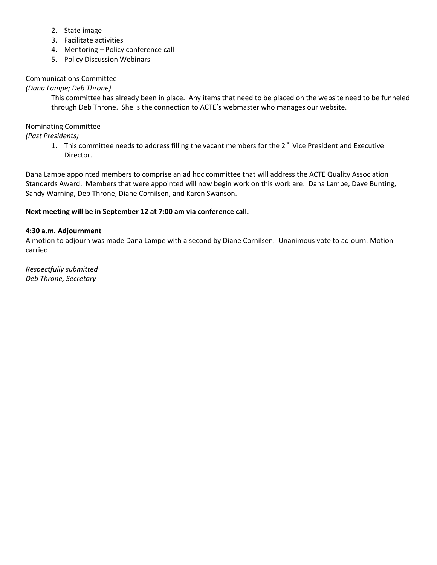- 2. State image
- 3. Facilitate activities
- 4. Mentoring Policy conference call
- 5. Policy Discussion Webinars

## Communications Committee

## *(Dana Lampe; Deb Throne)*

This committee has already been in place. Any items that need to be placed on the website need to be funneled through Deb Throne. She is the connection to ACTE's webmaster who manages our website.

## Nominating Committee

*(Past Presidents)*

1. This committee needs to address filling the vacant members for the  $2^{nd}$  Vice President and Executive Director.

Dana Lampe appointed members to comprise an ad hoc committee that will address the ACTE Quality Association Standards Award. Members that were appointed will now begin work on this work are: Dana Lampe, Dave Bunting, Sandy Warning, Deb Throne, Diane Cornilsen, and Karen Swanson.

## **Next meeting will be in September 12 at 7:00 am via conference call.**

### **4:30 a.m. Adjournment**

A motion to adjourn was made Dana Lampe with a second by Diane Cornilsen. Unanimous vote to adjourn. Motion carried.

*Respectfully submitted Deb Throne, Secretary*